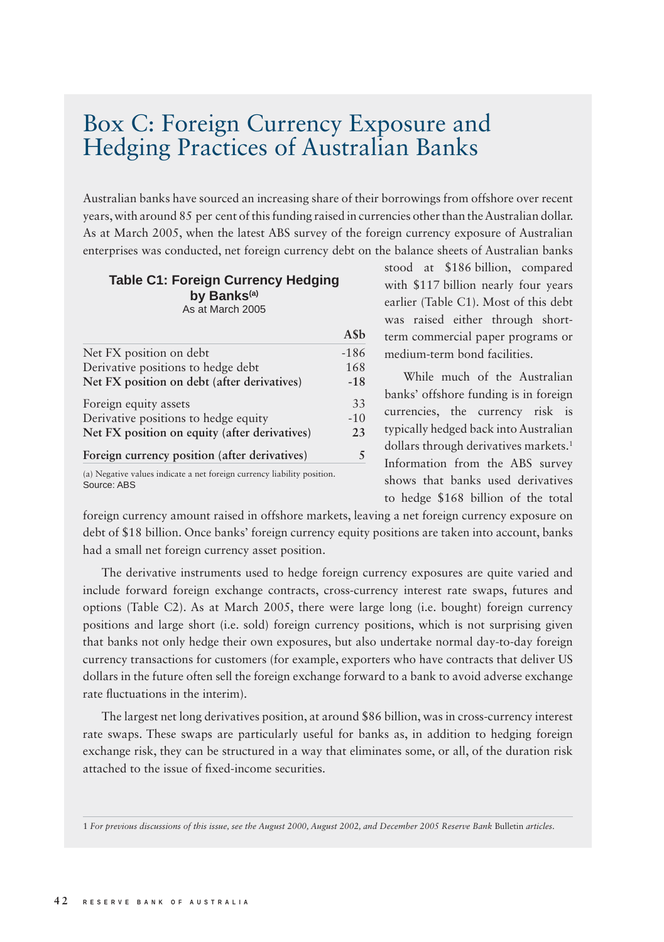## Box C: Foreign Currency Exposure and Hedging Practices of Australian Banks

Australian banks have sourced an increasing share of their borrowings from offshore over recent years, with around 85 per cent of this funding raised in currencies other than the Australian dollar. As at March 2005, when the latest ABS survey of the foreign currency exposure of Australian enterprises was conducted, net foreign currency debt on the balance sheets of Australian banks

## **Table C1: Foreign Currency Hedging by Banks(a)** As at March 2005

|                                               | ASb    |
|-----------------------------------------------|--------|
| Net FX position on debt                       | $-186$ |
| Derivative positions to hedge debt            | 168    |
| Net FX position on debt (after derivatives)   | $-18$  |
| Foreign equity assets                         | 33     |
| Derivative positions to hedge equity          | $-10$  |
| Net FX position on equity (after derivatives) | 23     |
| Foreign currency position (after derivatives) | 5      |
|                                               |        |

(a) Negative values indicate a net foreign currency liability position. Source: ABS

stood at \$186 billion, compared with \$117 billion nearly four years earlier (Table C1). Most of this debt was raised either through shortterm commercial paper programs or medium-term bond facilities.

While much of the Australian banks' offshore funding is in foreign currencies, the currency risk is typically hedged back into Australian dollars through derivatives markets.<sup>1</sup> Information from the ABS survey shows that banks used derivatives to hedge \$168 billion of the total

foreign currency amount raised in offshore markets, leaving a net foreign currency exposure on debt of \$18 billion. Once banks' foreign currency equity positions are taken into account, banks had a small net foreign currency asset position.

The derivative instruments used to hedge foreign currency exposures are quite varied and include forward foreign exchange contracts, cross-currency interest rate swaps, futures and options (Table C2). As at March 2005, there were large long (i.e. bought) foreign currency positions and large short (i.e. sold) foreign currency positions, which is not surprising given that banks not only hedge their own exposures, but also undertake normal day-to-day foreign currency transactions for customers (for example, exporters who have contracts that deliver US dollars in the future often sell the foreign exchange forward to a bank to avoid adverse exchange rate fluctuations in the interim).

The largest net long derivatives position, at around \$86 billion, was in cross-currency interest rate swaps. These swaps are particularly useful for banks as, in addition to hedging foreign exchange risk, they can be structured in a way that eliminates some, or all, of the duration risk attached to the issue of fixed-income securities.

1 *For previous discussions of this issue, see the August 2000, August 2002, and December 2005 Reserve Bank* Bulletin *articles.*